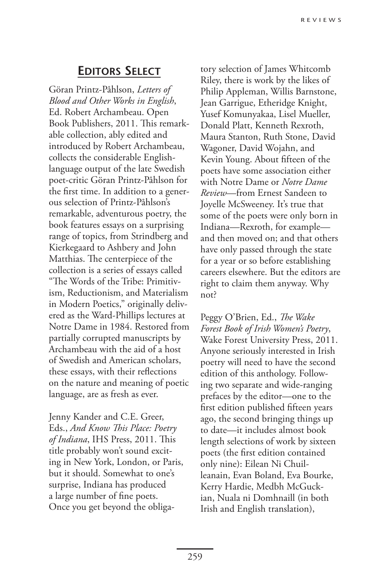## **Editors Select**

Göran Printz-Påhlson, *Letters of Blood and Other Works in English*, Ed. Robert Archambeau. Open Book Publishers, 2011. This remarkable collection, ably edited and introduced by Robert Archambeau, collects the considerable Englishlanguage output of the late Swedish poet-critic Göran Printz-Påhlson for the first time. In addition to a generous selection of Printz-Påhlson's remarkable, adventurous poetry, the book features essays on a surprising range of topics, from Strindberg and Kierkegaard to Ashbery and John Matthias. The centerpiece of the collection is a series of essays called "The Words of the Tribe: Primitivism, Reductionism, and Materialism in Modern Poetics," originally delivered as the Ward-Phillips lectures at Notre Dame in 1984. Restored from partially corrupted manuscripts by Archambeau with the aid of a host of Swedish and American scholars, these essays, with their reflections on the nature and meaning of poetic language, are as fresh as ever.

Jenny Kander and C.E. Greer, Eds., *And Know This Place: Poetry of Indiana*, IHS Press, 2011. This title probably won't sound exciting in New York, London, or Paris, but it should. Somewhat to one's surprise, Indiana has produced a large number of fine poets. Once you get beyond the obligatory selection of James Whitcomb Riley, there is work by the likes of Philip Appleman, Willis Barnstone, Jean Garrigue, Etheridge Knight, Yusef Komunyakaa, Lisel Mueller, Donald Platt, Kenneth Rexroth, Maura Stanton, Ruth Stone, David Wagoner, David Wojahn, and Kevin Young. About fifteen of the poets have some association either with Notre Dame or *Notre Dame Review*—from Ernest Sandeen to Joyelle McSweeney. It's true that some of the poets were only born in Indiana—Rexroth, for example and then moved on; and that others have only passed through the state for a year or so before establishing careers elsewhere. But the editors are right to claim them anyway. Why not?

Peggy O'Brien, Ed., *The Wake Forest Book of Irish Women's Poetry*, Wake Forest University Press, 2011. Anyone seriously interested in Irish poetry will need to have the second edition of this anthology. Following two separate and wide-ranging prefaces by the editor—one to the first edition published fifteen years ago, the second bringing things up to date—it includes almost book length selections of work by sixteen poets (the first edition contained only nine): Eilean Ni Chuilleanain, Evan Boland, Eva Bourke, Kerry Hardie, Medbh McGuckian, Nuala ni Domhnaill (in both Irish and English translation),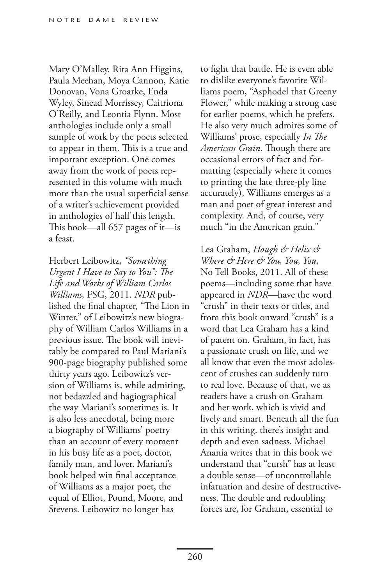Mary O'Malley, Rita Ann Higgins, Paula Meehan, Moya Cannon, Katie Donovan, Vona Groarke, Enda Wyley, Sinead Morrissey, Caitriona O'Reilly, and Leontia Flynn. Most anthologies include only a small sample of work by the poets selected to appear in them. This is a true and important exception. One comes away from the work of poets represented in this volume with much more than the usual superficial sense of a writer's achievement provided in anthologies of half this length. This book—all 657 pages of it—is a feast.

Herbert Leibowitz, *"Something Urgent I Have to Say to You": The Life and Works of William Carlos Williams,* FSG, 2011. *NDR* published the final chapter, "The Lion in Winter," of Leibowitz's new biography of William Carlos Williams in a previous issue. The book will inevitably be compared to Paul Mariani's 900-page biography published some thirty years ago. Leibowitz's version of Williams is, while admiring, not bedazzled and hagiographical the way Mariani's sometimes is. It is also less anecdotal, being more a biography of Williams' poetry than an account of every moment in his busy life as a poet, doctor, family man, and lover. Mariani's book helped win final acceptance of Williams as a major poet, the equal of Elliot, Pound, Moore, and Stevens. Leibowitz no longer has

to fight that battle. He is even able to dislike everyone's favorite Williams poem, "Asphodel that Greeny Flower," while making a strong case for earlier poems, which he prefers. He also very much admires some of Williams' prose, especially *In The American Grain*. Though there are occasional errors of fact and formatting (especially where it comes to printing the late three-ply line accurately), Williams emerges as a man and poet of great interest and complexity. And, of course, very much "in the American grain."

Lea Graham, *Hough & Helix & Where & Here & You, You, You*, No Tell Books, 2011. All of these poems—including some that have appeared in *NDR*—have the word "crush" in their texts or titles, and from this book onward "crush" is a word that Lea Graham has a kind of patent on. Graham, in fact, has a passionate crush on life, and we all know that even the most adolescent of crushes can suddenly turn to real love. Because of that, we as readers have a crush on Graham and her work, which is vivid and lively and smart. Beneath all the fun in this writing, there's insight and depth and even sadness. Michael Anania writes that in this book we understand that "cursh" has at least a double sense—of uncontrollable infatuation and desire of destructiveness. The double and redoubling forces are, for Graham, essential to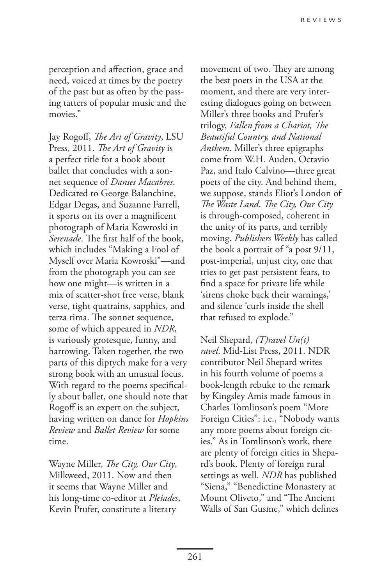perception and affection, grace and need, voiced at times by the poetry of the past but as often by the passing tatters of popular music and the movies."

Jay Rogoff, *The Art of Gravity*, LSU Press, 2011. *The Art of Gravity* is a perfect title for a book about ballet that concludes with a sonnet sequence of *Danses Macabres*. Dedicated to George Balanchine, Edgar Degas, and Suzanne Farrell, it sports on its over a magnificent photograph of Maria Kowroski in *Serenade*. The first half of the book, which includes "Making a Fool of Myself over Maria Kowroski"—and from the photograph you can see how one might—is written in a mix of scatter-shot free verse, blank verse, tight quatrains, sapphics, and terza rima. The sonnet sequence, some of which appeared in *NDR*, is variously grotesque, funny, and harrowing. Taken together, the two parts of this diptych make for a very strong book with an unusual focus. With regard to the poems specifically about ballet, one should note that Rogoff is an expert on the subject, having written on dance for *Hopkins Review* and *Ballet Review* for some time.

Wayne Miller, *The City, Our City*, Milkweed, 2011. Now and then it seems that Wayne Miller and his long-time co-editor at *Pleiades*, Kevin Prufer, constitute a literary

movement of two. They are among the best poets in the USA at the moment, and there are very interesting dialogues going on between Miller's three books and Prufer's trilogy, *Fallen from a Chariot, The Beautiful Country, and National Anthem*. Miller's three epigraphs come from W.H. Auden, Octavio Paz, and Italo Calvino—three great poets of the city. And behind them, we suppose, stands Eliot's London of *The Waste Land*. *The City, Our City* is through-composed, coherent in the unity of its parts, and terribly moving. *Publishers Weekly* has called the book a portrait of "a post 9/11, post-imperial, unjust city, one that tries to get past persistent fears, to find a space for private life while 'sirens choke back their warnings,' and silence 'curls inside the shell that refused to explode."

Neil Shepard, *(T)ravel Un(t) ravel*. Mid-List Press, 2011. NDR contributor Neil Shepard writes in his fourth volume of poems a book-length rebuke to the remark by Kingsley Amis made famous in Charles Tomlinson's poem "More Foreign Cities": i.e., "Nobody wants any more poems about foreign cities." As in Tomlinson's work, there are plenty of foreign cities in Shepard's book. Plenty of foreign rural settings as well. *NDR* has published "Siena," "Benedictine Monastery at Mount Oliveto," and "The Ancient Walls of San Gusme," which defines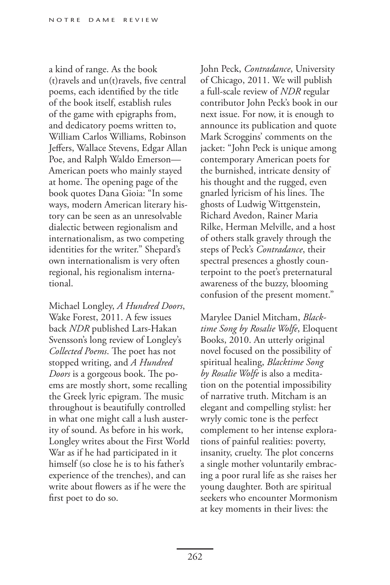a kind of range. As the book (t)ravels and un(t)ravels, five central poems, each identified by the title of the book itself, establish rules of the game with epigraphs from, and dedicatory poems written to, William Carlos Williams, Robinson Jeffers, Wallace Stevens, Edgar Allan Poe, and Ralph Waldo Emerson— American poets who mainly stayed at home. The opening page of the book quotes Dana Gioia: "In some ways, modern American literary history can be seen as an unresolvable dialectic between regionalism and internationalism, as two competing identities for the writer." Shepard's own internationalism is very often regional, his regionalism international.

Michael Longley, *A Hundred Doors*, Wake Forest, 2011. A few issues back *NDR* published Lars-Hakan Svensson's long review of Longley's *Collected Poems*. The poet has not stopped writing, and *A Hundred Doors* is a gorgeous book. The poems are mostly short, some recalling the Greek lyric epigram. The music throughout is beautifully controlled in what one might call a lush austerity of sound. As before in his work, Longley writes about the First World War as if he had participated in it himself (so close he is to his father's experience of the trenches), and can write about flowers as if he were the first poet to do so.

John Peck, *Contradance*, University of Chicago, 2011. We will publish a full-scale review of *NDR* regular contributor John Peck's book in our next issue. For now, it is enough to announce its publication and quote Mark Scroggins' comments on the jacket: "John Peck is unique among contemporary American poets for the burnished, intricate density of his thought and the rugged, even gnarled lyricism of his lines. The ghosts of Ludwig Wittgenstein, Richard Avedon, Rainer Maria Rilke, Herman Melville, and a host of others stalk gravely through the steps of Peck's *Contradance*, their spectral presences a ghostly counterpoint to the poet's preternatural awareness of the buzzy, blooming confusion of the present moment."

Marylee Daniel Mitcham, *Blacktime Song by Rosalie Wolfe*, Eloquent Books, 2010. An utterly original novel focused on the possibility of spiritual healing, *Blacktime Song by Rosalie Wolfe* is also a meditation on the potential impossibility of narrative truth. Mitcham is an elegant and compelling stylist: her wryly comic tone is the perfect complement to her intense explorations of painful realities: poverty, insanity, cruelty. The plot concerns a single mother voluntarily embracing a poor rural life as she raises her young daughter. Both are spiritual seekers who encounter Mormonism at key moments in their lives: the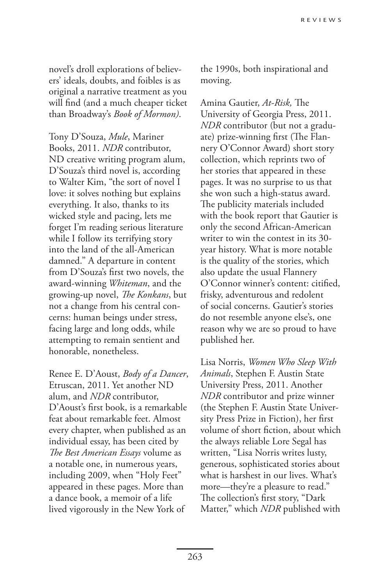novel's droll explorations of believers' ideals, doubts, and foibles is as original a narrative treatment as you will find (and a much cheaper ticket than Broadway's *Book of Mormon)*.

Tony D'Souza, *Mule*, Mariner Books, 2011. *NDR* contributor, ND creative writing program alum, D'Souza's third novel is, according to Walter Kim, "the sort of novel I love: it solves nothing but explains everything. It also, thanks to its wicked style and pacing, lets me forget I'm reading serious literature while I follow its terrifying story into the land of the all-American damned." A departure in content from D'Souza's first two novels, the award-winning *Whiteman*, and the growing-up novel, *The Konkans*, but not a change from his central concerns: human beings under stress, facing large and long odds, while attempting to remain sentient and honorable, nonetheless.

Renee E. D'Aoust, *Body of a Dancer*, Etruscan, 2011. Yet another ND alum, and *NDR* contributor, D'Aoust's first book, is a remarkable feat about remarkable feet. Almost every chapter, when published as an individual essay, has been cited by *The Best American Essays* volume as a notable one, in numerous years, including 2009, when "Holy Feet" appeared in these pages. More than a dance book, a memoir of a life lived vigorously in the New York of

the 1990s, both inspirational and moving.

Amina Gautier, *At-Risk,* The University of Georgia Press, 2011. *NDR* contributor (but not a graduate) prize-winning first (The Flannery O'Connor Award) short story collection, which reprints two of her stories that appeared in these pages. It was no surprise to us that she won such a high-status award. The publicity materials included with the book report that Gautier is only the second African-American writer to win the contest in its 30 year history. What is more notable is the quality of the stories, which also update the usual Flannery O'Connor winner's content: citified, frisky, adventurous and redolent of social concerns. Gautier's stories do not resemble anyone else's, one reason why we are so proud to have published her.

Lisa Norris, *Women Who Sleep With Animals*, Stephen F. Austin State University Press, 2011. Another *NDR* contributor and prize winner (the Stephen F. Austin State University Press Prize in Fiction), her first volume of short fiction, about which the always reliable Lore Segal has written, "Lisa Norris writes lusty, generous, sophisticated stories about what is harshest in our lives. What's more—they're a pleasure to read." The collection's first story, "Dark Matter," which *NDR* published with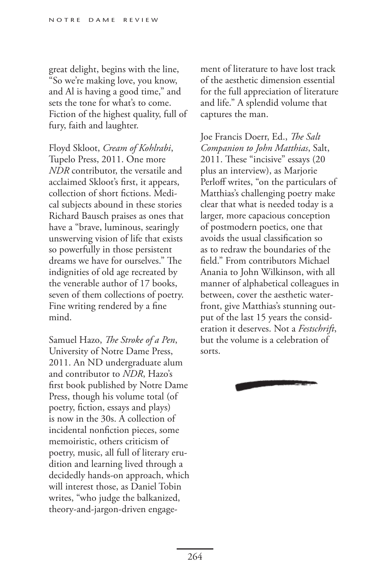great delight, begins with the line, "So we're making love, you know, and Al is having a good time," and sets the tone for what's to come. Fiction of the highest quality, full of fury, faith and laughter.

Floyd Skloot, *Cream of Kohlrabi*, Tupelo Press, 2011. One more *NDR* contributor, the versatile and acclaimed Skloot's first, it appears, collection of short fictions. Medical subjects abound in these stories Richard Bausch praises as ones that have a "brave, luminous, searingly unswerving vision of life that exists so powerfully in those persistent dreams we have for ourselves." The indignities of old age recreated by the venerable author of 17 books, seven of them collections of poetry. Fine writing rendered by a fine mind.

Samuel Hazo, *The Stroke of a Pen*, University of Notre Dame Press, 2011. An ND undergraduate alum and contributor to *NDR*, Hazo's first book published by Notre Dame Press, though his volume total (of poetry, fiction, essays and plays) is now in the 30s. A collection of incidental nonfiction pieces, some memoiristic, others criticism of poetry, music, all full of literary erudition and learning lived through a decidedly hands-on approach, which will interest those, as Daniel Tobin writes, "who judge the balkanized, theory-and-jargon-driven engagement of literature to have lost track of the aesthetic dimension essential for the full appreciation of literature and life." A splendid volume that captures the man.

Joe Francis Doerr, Ed., *The Salt Companion to John Matthias*, Salt, 2011. These "incisive" essays (20 plus an interview), as Marjorie Perloff writes, "on the particulars of Matthias's challenging poetry make clear that what is needed today is a larger, more capacious conception of postmodern poetics, one that avoids the usual classification so as to redraw the boundaries of the field." From contributors Michael Anania to John Wilkinson, with all manner of alphabetical colleagues in between, cover the aesthetic waterfront, give Matthias's stunning output of the last 15 years the consideration it deserves. Not a *Festschrift*, but the volume is a celebration of sorts.